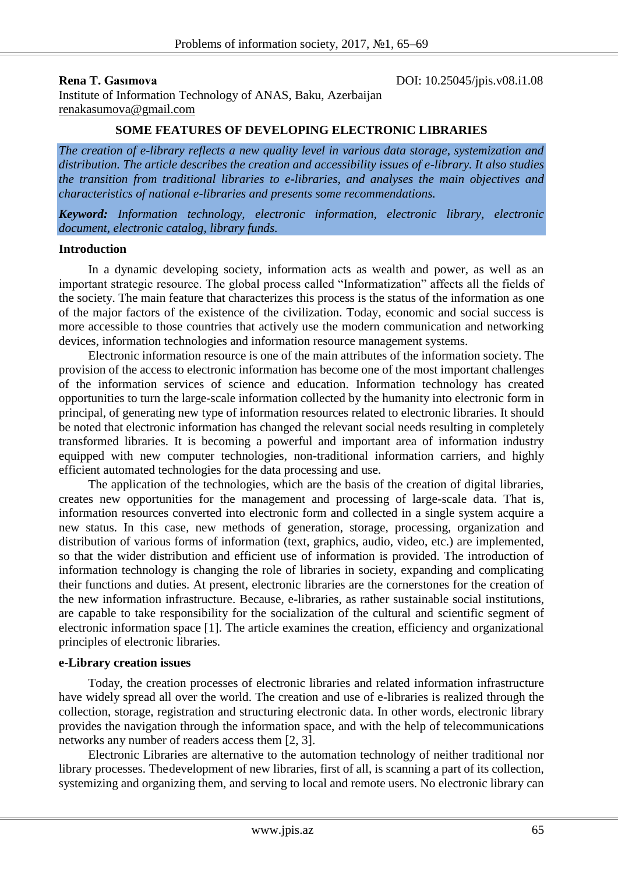**Rena T. Gasimova DOI:** 10.25045/jpis.v08.i1.08

Institute of Information Technology of ANAS, Baku, Azerbaijan renakasumova@gmail.com

### **SOME FEATURES OF DEVELOPING ELECTRONIC LIBRARIES**

*The creation of e-library reflects a new quality level in various data storage, systemization and distribution. The article describes the creation and accessibility issues of e-library. It also studies the transition from traditional libraries to e-libraries, and analyses the main objectives and characteristics of national e-libraries and presents some recommendations.*

*Keyword: Information technology, electronic information, electronic library, electronic document, electronic catalog, library funds.*

#### **Introduction**

In a dynamic developing society, information acts as wealth and power, as well as an important strategic resource. The global process called "Informatization" affects all the fields of the society. The main feature that characterizes this process is the status of the information as one of the major factors of the existence of the civilization. Today, economic and social success is more accessible to those countries that actively use the modern communication and networking devices, information technologies and information resource management systems.

Electronic information resource is one of the main attributes of the information society. The provision of the access to electronic information has become one of the most important challenges of the information services of science and education. Information technology has created opportunities to turn the large-scale information collected by the humanity into electronic form in principal, of generating new type of information resources related to electronic libraries. It should be noted that electronic information has changed the relevant social needs resulting in completely transformed libraries. It is becoming a powerful and important area of information industry equipped with new computer technologies, non-traditional information carriers, and highly efficient automated technologies for the data processing and use.

The application of the technologies, which are the basis of the creation of digital libraries, creates new opportunities for the management and processing of large-scale data. That is, information resources converted into electronic form and collected in a single system acquire a new status. In this case, new methods of generation, storage, processing, organization and distribution of various forms of information (text, graphics, audio, video, etc.) are implemented, so that the wider distribution and efficient use of information is provided. The introduction of information technology is changing the role of libraries in society, expanding and complicating their functions and duties. At present, electronic libraries are the cornerstones for the creation of the new information infrastructure. Because, e-libraries, as rather sustainable social institutions, are capable to take responsibility for the socialization of the cultural and scientific segment of electronic information space [1]. The article examines the creation, efficiency and organizational principles of electronic libraries.

#### **e-Library creation issues**

Today, the creation processes of electronic libraries and related information infrastructure have widely spread all over the world. The creation and use of e-libraries is realized through the collection, storage, registration and structuring electronic data. In other words, electronic library provides the navigation through the information space, and with the help of telecommunications networks any number of readers access them [2, 3].

Electronic Libraries are alternative to the automation technology of neither traditional nor library processes. Thedevelopment of new libraries, first of all, is scanning a part of its collection, systemizing and organizing them, and serving to local and remote users. No electronic library can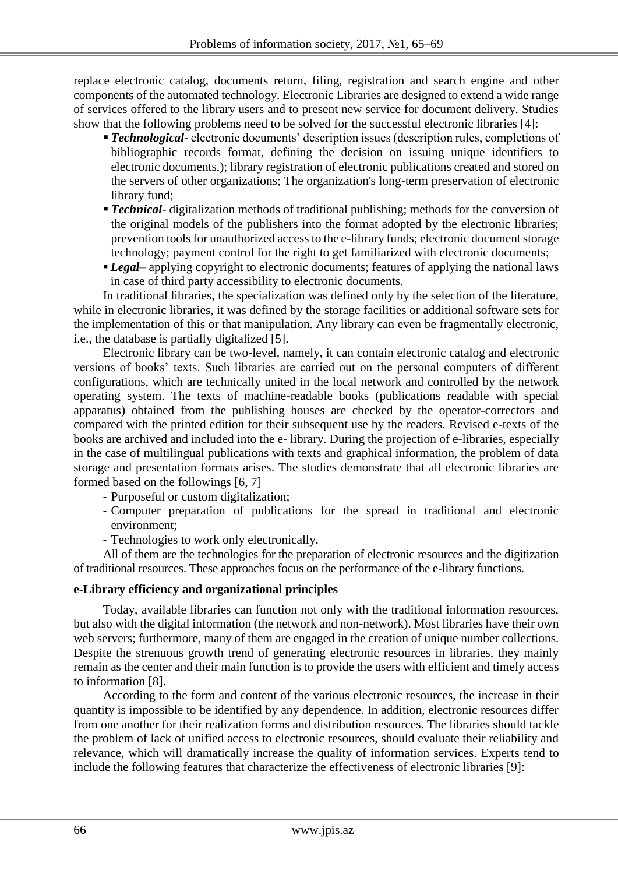replace electronic catalog, documents return, filing, registration and search engine and other components of the automated technology. Electronic Libraries are designed to extend a wide range of services offered to the library users and to present new service for document delivery. Studies show that the following problems need to be solved for the successful electronic libraries [4]:

- **Technological** electronic documents' description issues (description rules, completions of bibliographic records format, defining the decision on issuing unique identifiers to electronic documents,); library registration of electronic publications created and stored on the servers of other organizations; The organization's long-term preservation of electronic library fund;
- **Technical** digitalization methods of traditional publishing; methods for the conversion of the original models of the publishers into the format adopted by the electronic libraries; prevention tools for unauthorized access to the e-library funds; electronic document storage technology; payment control for the right to get familiarized with electronic documents;
- **Legal** applying copyright to electronic documents; features of applying the national laws in case of third party accessibility to electronic documents.

In traditional libraries, the specialization was defined only by the selection of the literature, while in electronic libraries, it was defined by the storage facilities or additional software sets for the implementation of this or that manipulation. Any library can even be fragmentally electronic, i.e., the database is partially digitalized [5].

Electronic library can be two-level, namely, it can contain electronic catalog and electronic versions of books' texts. Such libraries are carried out on the personal computers of different configurations, which are technically united in the local network and controlled by the network operating system. The texts of machine-readable books (publications readable with special apparatus) obtained from the publishing houses are checked by the operator-correctors and compared with the printed edition for their subsequent use by the readers. Revised e-texts of the books are archived and included into the e- library. During the projection of e-libraries, especially in the case of multilingual publications with texts and graphical information, the problem of data storage and presentation formats arises. The studies demonstrate that all electronic libraries are formed based on the followings [6, 7]

- Purposeful or custom digitalization;
- Computer preparation of publications for the spread in traditional and electronic environment;
- Technologies to work only electronically.

All of them are the technologies for the preparation of electronic resources and the digitization of traditional resources. These approaches focus on the performance of the e-library functions.

## **e-Library efficiency and organizational principles**

Today, available libraries can function not only with the traditional information resources, but also with the digital information (the network and non-network). Most libraries have their own web servers; furthermore, many of them are engaged in the creation of unique number collections. Despite the strenuous growth trend of generating electronic resources in libraries, they mainly remain as the center and their main function is to provide the users with efficient and timely access to information [8].

According to the form and content of the various electronic resources, the increase in their quantity is impossible to be identified by any dependence. In addition, electronic resources differ from one another for their realization forms and distribution resources. The libraries should tackle the problem of lack of unified access to electronic resources, should evaluate their reliability and relevance, which will dramatically increase the quality of information services. Experts tend to include the following features that characterize the effectiveness of electronic libraries [9]: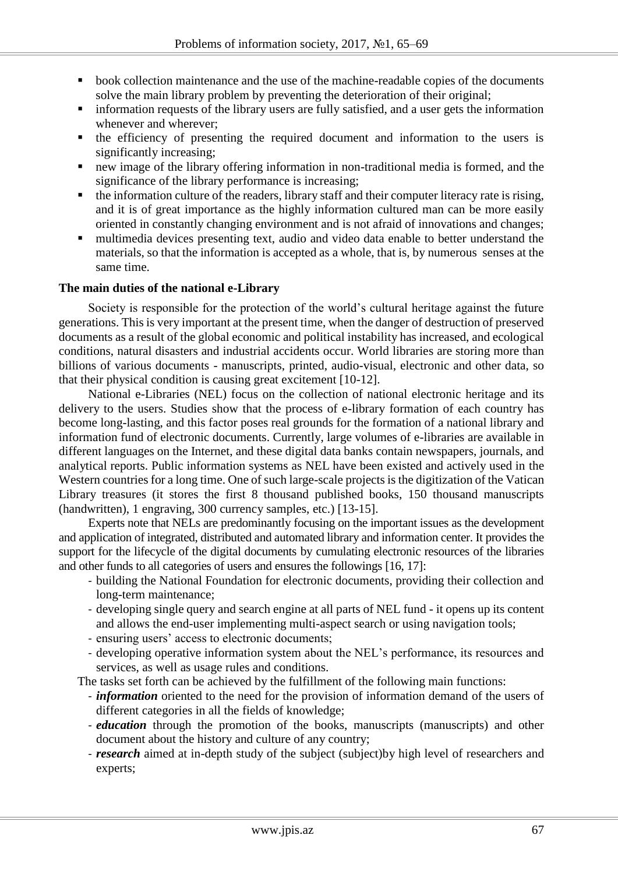- **book collection maintenance and the use of the machine-readable copies of the documents** solve the main library problem by preventing the deterioration of their original;
- information requests of the library users are fully satisfied, and a user gets the information whenever and wherever;
- the efficiency of presenting the required document and information to the users is significantly increasing;
- new image of the library offering information in non-traditional media is formed, and the significance of the library performance is increasing;
- the information culture of the readers, library staff and their computer literacy rate is rising, and it is of great importance as the highly information cultured man can be more easily oriented in constantly changing environment and is not afraid of innovations and changes;
- multimedia devices presenting text, audio and video data enable to better understand the materials, so that the information is accepted as a whole, that is, by numerous senses at the same time.

## **The main duties of the national e-Library**

Society is responsible for the protection of the world's cultural heritage against the future generations. This is very important at the present time, when the danger of destruction of preserved documents as a result of the global economic and political instability has increased, and ecological conditions, natural disasters and industrial accidents occur. World libraries are storing more than billions of various documents - manuscripts, printed, audio-visual, electronic and other data, so that their physical condition is causing great excitement [10-12].

National e-Libraries (NEL) focus on the collection of national electronic heritage and its delivery to the users. Studies show that the process of e-library formation of each country has become long-lasting, and this factor poses real grounds for the formation of a national library and information fund of electronic documents. Currently, large volumes of e-libraries are available in different languages on the Internet, and these digital data banks contain newspapers, journals, and analytical reports. Public information systems as NEL have been existed and actively used in the Western countries for a long time. One of such large-scale projects is the digitization of the Vatican Library treasures (it stores the first 8 thousand published books, 150 thousand manuscripts (handwritten), 1 engraving, 300 currency samples, etc.) [13-15].

Experts note that NELs are predominantly focusing on the important issues as the development and application of integrated, distributed and automated library and information center. It provides the support for the lifecycle of the digital documents by cumulating electronic resources of the libraries and other funds to all categories of users and ensures the followings [16, 17]:

- building the National Foundation for electronic documents, providing their collection and long-term maintenance;
- developing single query and search engine at all parts of NEL fund it opens up its content and allows the end-user implementing multi-aspect search or using navigation tools;
- ensuring users' access to electronic documents;
- developing operative information system about the NEL's performance, its resources and services, as well as usage rules and conditions.

The tasks set forth can be achieved by the fulfillment of the following main functions:

- *information* oriented to the need for the provision of information demand of the users of different categories in all the fields of knowledge;
- *education* through the promotion of the books, manuscripts (manuscripts) and other document about the history and culture of any country;
- *research* aimed at in-depth study of the subject (subject)by high level of researchers and experts;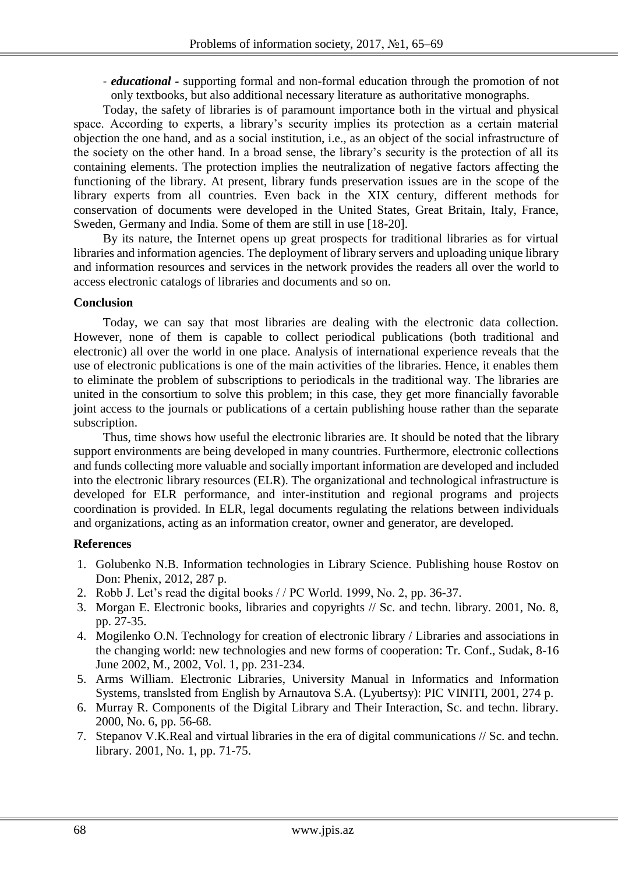- *educational -* supporting formal and non-formal education through the promotion of not only textbooks, but also additional necessary literature as authoritative monographs.

Today, the safety of libraries is of paramount importance both in the virtual and physical space. According to experts, a library's security implies its protection as a certain material objection the one hand, and as a social institution, i.e., as an object of the social infrastructure of the society on the other hand. In a broad sense, the library's security is the protection of all its containing elements. The protection implies the neutralization of negative factors affecting the functioning of the library. At present, library funds preservation issues are in the scope of the library experts from all countries. Even back in the XIX century, different methods for conservation of documents were developed in the United States, Great Britain, Italy, France, Sweden, Germany and India. Some of them are still in use [18-20].

By its nature, the Internet opens up great prospects for traditional libraries as for virtual libraries and information agencies. The deployment of library servers and uploading unique library and information resources and services in the network provides the readers all over the world to access electronic catalogs of libraries and documents and so on.

## **Conclusion**

Today, we can say that most libraries are dealing with the electronic data collection. However, none of them is capable to collect periodical publications (both traditional and electronic) all over the world in one place. Analysis of international experience reveals that the use of electronic publications is one of the main activities of the libraries. Hence, it enables them to eliminate the problem of subscriptions to periodicals in the traditional way. The libraries are united in the consortium to solve this problem; in this case, they get more financially favorable joint access to the journals or publications of a certain publishing house rather than the separate subscription.

Thus, time shows how useful the electronic libraries are. It should be noted that the library support environments are being developed in many countries. Furthermore, electronic collections and funds collecting more valuable and socially important information are developed and included into the electronic library resources (ELR). The organizational and technological infrastructure is developed for ELR performance, and inter-institution and regional programs and projects coordination is provided. In ELR, legal documents regulating the relations between individuals and organizations, acting as an information creator, owner and generator, are developed.

# **References**

- 1. Golubenko N.B. Information technologies in Library Science. Publishing house Rostov on Don: Phenix, 2012, 287 p.
- 2. Robb J. Let's read the digital books / / PC World. 1999, No. 2, pp. 36-37.
- 3. Morgan E. Electronic books, libraries and copyrights // Sc. and techn. library. 2001, No. 8, pp. 27-35.
- 4. Mogilenko O.N. Technology for creation of electronic library / Libraries and associations in the changing world: new technologies and new forms of cooperation: Tr. Conf., Sudak, 8-16 June 2002, M., 2002, Vol. 1, pp. 231-234.
- 5. Arms William. Electronic Libraries, University Manual in Informatics and Information Systems, translsted from English by Arnautova S.A. (Lyubertsy): PIC VINITI, 2001, 274 p.
- 6. Murray R. Components of the Digital Library and Their Interaction, Sc. and techn. library. 2000, No. 6, pp. 56-68.
- 7. Stepanov V.K.Real and virtual libraries in the era of digital communications // Sc. and techn. library. 2001, No. 1, pp. 71-75.